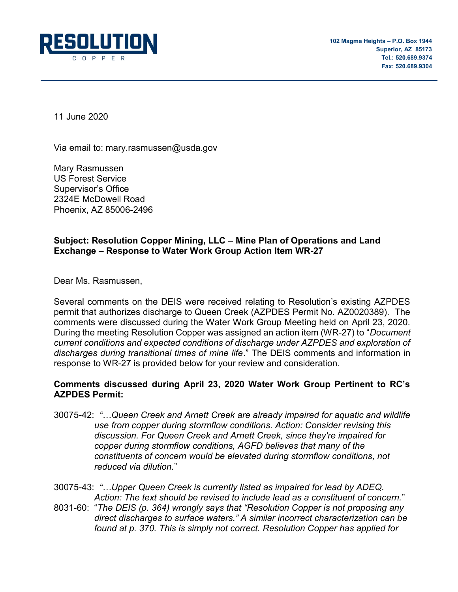

11 June 2020

Via email to: mary.rasmussen@usda.gov

Mary Rasmussen US Forest Service Supervisor's Office 2324E McDowell Road Phoenix, AZ 85006-2496

# Subject: Resolution Copper Mining, LLC – Mine Plan of Operations and Land Exchange – Response to Water Work Group Action Item WR-27

Dear Ms. Rasmussen,

Several comments on the DEIS were received relating to Resolution's existing AZPDES permit that authorizes discharge to Queen Creek (AZPDES Permit No. AZ0020389). The comments were discussed during the Water Work Group Meeting held on April 23, 2020. During the meeting Resolution Copper was assigned an action item (WR-27) to "Document current conditions and expected conditions of discharge under AZPDES and exploration of discharges during transitional times of mine life." The DEIS comments and information in response to WR-27 is provided below for your review and consideration.

# Comments discussed during April 23, 2020 Water Work Group Pertinent to RC's AZPDES Permit:

- 30075-42: "…Queen Creek and Arnett Creek are already impaired for aquatic and wildlife use from copper during stormflow conditions. Action: Consider revising this discussion. For Queen Creek and Arnett Creek, since they're impaired for copper during stormflow conditions, AGFD believes that many of the constituents of concern would be elevated during stormflow conditions, not reduced via dilution."
- 30075-43: "…Upper Queen Creek is currently listed as impaired for lead by ADEQ. Action: The text should be revised to include lead as a constituent of concern."
- 8031-60: "The DEIS (p. 364) wrongly says that "Resolution Copper is not proposing any direct discharges to surface waters." A similar incorrect characterization can be found at p. 370. This is simply not correct. Resolution Copper has applied for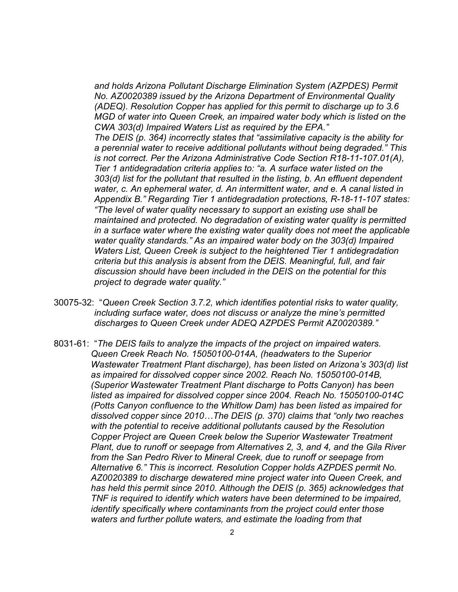and holds Arizona Pollutant Discharge Elimination System (AZPDES) Permit No. AZ0020389 issued by the Arizona Department of Environmental Quality (ADEQ). Resolution Copper has applied for this permit to discharge up to 3.6 MGD of water into Queen Creek, an impaired water body which is listed on the CWA 303(d) Impaired Waters List as required by the EPA."

The DEIS (p. 364) incorrectly states that "assimilative capacity is the ability for a perennial water to receive additional pollutants without being degraded." This is not correct. Per the Arizona Administrative Code Section R18-11-107.01(A), Tier 1 antidegradation criteria applies to: "a. A surface water listed on the 303(d) list for the pollutant that resulted in the listing, b. An effluent dependent water, c. An ephemeral water, d. An intermittent water, and e. A canal listed in Appendix B." Regarding Tier 1 antidegradation protections, R-18-11-107 states: "The level of water quality necessary to support an existing use shall be maintained and protected. No degradation of existing water quality is permitted in a surface water where the existing water quality does not meet the applicable water quality standards." As an impaired water body on the 303(d) Impaired Waters List, Queen Creek is subject to the heightened Tier 1 antidegradation criteria but this analysis is absent from the DEIS. Meaningful, full, and fair discussion should have been included in the DEIS on the potential for this project to degrade water quality."

- 30075-32: "Queen Creek Section 3.7.2, which identifies potential risks to water quality, including surface water, does not discuss or analyze the mine's permitted discharges to Queen Creek under ADEQ AZPDES Permit AZ0020389."
- 8031-61: "The DEIS fails to analyze the impacts of the project on impaired waters. Queen Creek Reach No. 15050100-014A, (headwaters to the Superior Wastewater Treatment Plant discharge), has been listed on Arizona's 303(d) list as impaired for dissolved copper since 2002. Reach No. 15050100-014B, (Superior Wastewater Treatment Plant discharge to Potts Canyon) has been listed as impaired for dissolved copper since 2004. Reach No. 15050100-014C (Potts Canyon confluence to the Whitlow Dam) has been listed as impaired for dissolved copper since 2010…The DEIS (p. 370) claims that "only two reaches with the potential to receive additional pollutants caused by the Resolution Copper Project are Queen Creek below the Superior Wastewater Treatment Plant, due to runoff or seepage from Alternatives 2, 3, and 4, and the Gila River from the San Pedro River to Mineral Creek, due to runoff or seepage from Alternative 6." This is incorrect. Resolution Copper holds AZPDES permit No. AZ0020389 to discharge dewatered mine project water into Queen Creek, and has held this permit since 2010. Although the DEIS (p. 365) acknowledges that TNF is required to identify which waters have been determined to be impaired, identify specifically where contaminants from the project could enter those waters and further pollute waters, and estimate the loading from that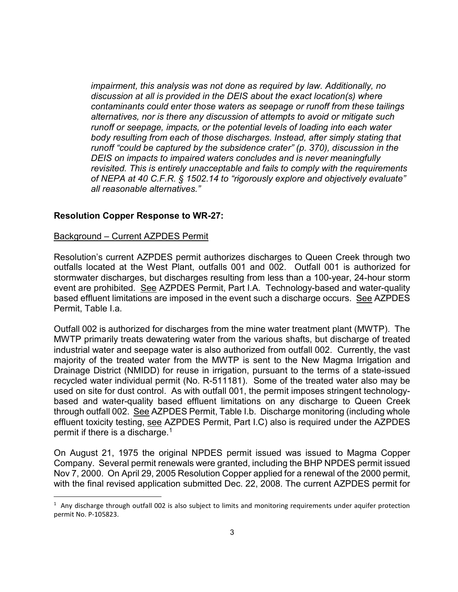impairment, this analysis was not done as required by law. Additionally, no discussion at all is provided in the DEIS about the exact location(s) where contaminants could enter those waters as seepage or runoff from these tailings alternatives, nor is there any discussion of attempts to avoid or mitigate such runoff or seepage, impacts, or the potential levels of loading into each water body resulting from each of those discharges. Instead, after simply stating that runoff "could be captured by the subsidence crater" (p. 370), discussion in the DEIS on impacts to impaired waters concludes and is never meaningfully revisited. This is entirely unacceptable and fails to comply with the requirements of NEPA at 40 C.F.R. § 1502.14 to "rigorously explore and objectively evaluate" all reasonable alternatives."

## Resolution Copper Response to WR-27:

### Background – Current AZPDES Permit

 $\overline{a}$ 

Resolution's current AZPDES permit authorizes discharges to Queen Creek through two outfalls located at the West Plant, outfalls 001 and 002. Outfall 001 is authorized for stormwater discharges, but discharges resulting from less than a 100-year, 24-hour storm event are prohibited. See AZPDES Permit, Part I.A. Technology-based and water-quality based effluent limitations are imposed in the event such a discharge occurs. See AZPDES Permit, Table I.a.

Outfall 002 is authorized for discharges from the mine water treatment plant (MWTP). The MWTP primarily treats dewatering water from the various shafts, but discharge of treated industrial water and seepage water is also authorized from outfall 002. Currently, the vast majority of the treated water from the MWTP is sent to the New Magma Irrigation and Drainage District (NMIDD) for reuse in irrigation, pursuant to the terms of a state-issued recycled water individual permit (No. R-511181). Some of the treated water also may be used on site for dust control. As with outfall 001, the permit imposes stringent technologybased and water-quality based effluent limitations on any discharge to Queen Creek through outfall 002. See AZPDES Permit, Table I.b. Discharge monitoring (including whole effluent toxicity testing, see AZPDES Permit, Part I.C) also is required under the AZPDES permit if there is a discharge.<sup>1</sup>

On August 21, 1975 the original NPDES permit issued was issued to Magma Copper Company. Several permit renewals were granted, including the BHP NPDES permit issued Nov 7, 2000. On April 29, 2005 Resolution Copper applied for a renewal of the 2000 permit, with the final revised application submitted Dec. 22, 2008. The current AZPDES permit for

 $1$  Any discharge through outfall 002 is also subject to limits and monitoring requirements under aquifer protection permit No. P-105823.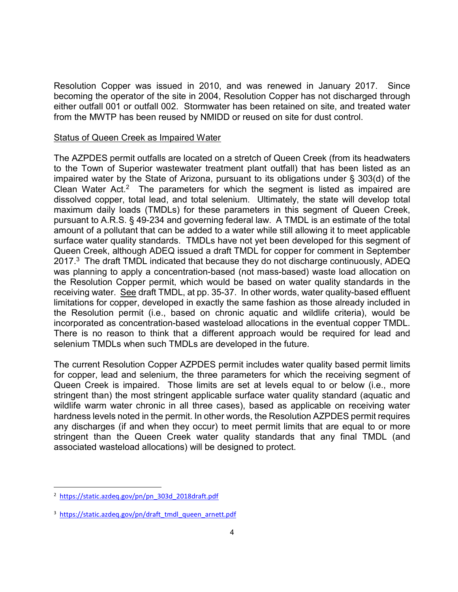Resolution Copper was issued in 2010, and was renewed in January 2017. Since becoming the operator of the site in 2004, Resolution Copper has not discharged through either outfall 001 or outfall 002. Stormwater has been retained on site, and treated water from the MWTP has been reused by NMIDD or reused on site for dust control.

#### Status of Queen Creek as Impaired Water

The AZPDES permit outfalls are located on a stretch of Queen Creek (from its headwaters to the Town of Superior wastewater treatment plant outfall) that has been listed as an impaired water by the State of Arizona, pursuant to its obligations under § 303(d) of the Clean Water Act.<sup>2</sup> The parameters for which the segment is listed as impaired are dissolved copper, total lead, and total selenium. Ultimately, the state will develop total maximum daily loads (TMDLs) for these parameters in this segment of Queen Creek, pursuant to A.R.S. § 49-234 and governing federal law. A TMDL is an estimate of the total amount of a pollutant that can be added to a water while still allowing it to meet applicable surface water quality standards. TMDLs have not yet been developed for this segment of Queen Creek, although ADEQ issued a draft TMDL for copper for comment in September 2017. $3$  The draft TMDL indicated that because they do not discharge continuously, ADEQ was planning to apply a concentration-based (not mass-based) waste load allocation on the Resolution Copper permit, which would be based on water quality standards in the receiving water. See draft TMDL, at pp. 35-37. In other words, water quality-based effluent limitations for copper, developed in exactly the same fashion as those already included in the Resolution permit (i.e., based on chronic aquatic and wildlife criteria), would be incorporated as concentration-based wasteload allocations in the eventual copper TMDL. There is no reason to think that a different approach would be required for lead and selenium TMDLs when such TMDLs are developed in the future.

The current Resolution Copper AZPDES permit includes water quality based permit limits for copper, lead and selenium, the three parameters for which the receiving segment of Queen Creek is impaired. Those limits are set at levels equal to or below (i.e., more stringent than) the most stringent applicable surface water quality standard (aquatic and wildlife warm water chronic in all three cases), based as applicable on receiving water hardness levels noted in the permit. In other words, the Resolution AZPDES permit requires any discharges (if and when they occur) to meet permit limits that are equal to or more stringent than the Queen Creek water quality standards that any final TMDL (and associated wasteload allocations) will be designed to protect.

 $\overline{a}$ 

<sup>&</sup>lt;sup>2</sup> https://static.azdeq.gov/pn/pn\_303d\_2018draft.pdf

<sup>&</sup>lt;sup>3</sup> https://static.azdeq.gov/pn/draft\_tmdl\_queen\_arnett.pdf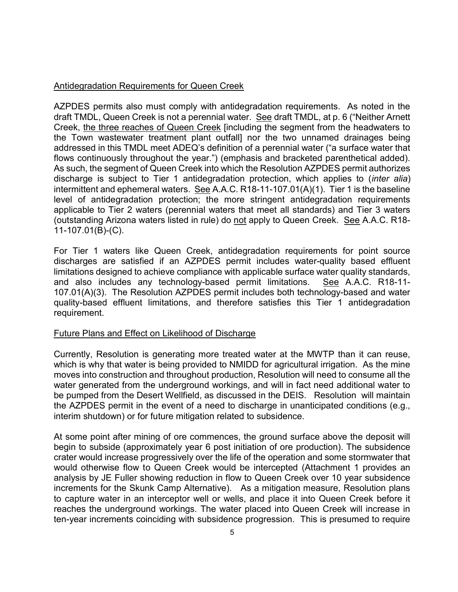## Antidegradation Requirements for Queen Creek

AZPDES permits also must comply with antidegradation requirements. As noted in the draft TMDL, Queen Creek is not a perennial water. See draft TMDL, at p. 6 ("Neither Arnett Creek, the three reaches of Queen Creek [including the segment from the headwaters to the Town wastewater treatment plant outfall] nor the two unnamed drainages being addressed in this TMDL meet ADEQ's definition of a perennial water ("a surface water that flows continuously throughout the year.") (emphasis and bracketed parenthetical added). As such, the segment of Queen Creek into which the Resolution AZPDES permit authorizes discharge is subject to Tier 1 antidegradation protection, which applies to (*inter alia*) intermittent and ephemeral waters. See A.A.C. R18-11-107.01(A)(1). Tier 1 is the baseline level of antidegradation protection; the more stringent antidegradation requirements applicable to Tier 2 waters (perennial waters that meet all standards) and Tier 3 waters (outstanding Arizona waters listed in rule) do not apply to Queen Creek. See A.A.C. R18- 11-107.01(B)-(C).

For Tier 1 waters like Queen Creek, antidegradation requirements for point source discharges are satisfied if an AZPDES permit includes water-quality based effluent limitations designed to achieve compliance with applicable surface water quality standards, and also includes any technology-based permit limitations. See A.A.C. R18-11- 107.01(A)(3). The Resolution AZPDES permit includes both technology-based and water quality-based effluent limitations, and therefore satisfies this Tier 1 antidegradation requirement.

### Future Plans and Effect on Likelihood of Discharge

Currently, Resolution is generating more treated water at the MWTP than it can reuse, which is why that water is being provided to NMIDD for agricultural irrigation. As the mine moves into construction and throughout production, Resolution will need to consume all the water generated from the underground workings, and will in fact need additional water to be pumped from the Desert Wellfield, as discussed in the DEIS. Resolution will maintain the AZPDES permit in the event of a need to discharge in unanticipated conditions (e.g., interim shutdown) or for future mitigation related to subsidence.

At some point after mining of ore commences, the ground surface above the deposit will begin to subside (approximately year 6 post initiation of ore production). The subsidence crater would increase progressively over the life of the operation and some stormwater that would otherwise flow to Queen Creek would be intercepted (Attachment 1 provides an analysis by JE Fuller showing reduction in flow to Queen Creek over 10 year subsidence increments for the Skunk Camp Alternative). As a mitigation measure, Resolution plans to capture water in an interceptor well or wells, and place it into Queen Creek before it reaches the underground workings. The water placed into Queen Creek will increase in ten-year increments coinciding with subsidence progression. This is presumed to require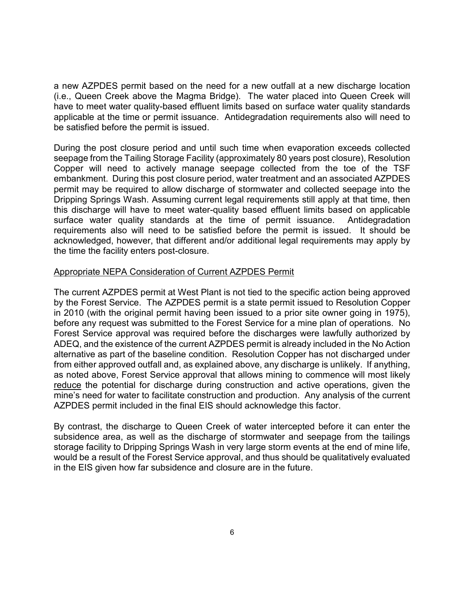a new AZPDES permit based on the need for a new outfall at a new discharge location (i.e., Queen Creek above the Magma Bridge). The water placed into Queen Creek will have to meet water quality-based effluent limits based on surface water quality standards applicable at the time or permit issuance. Antidegradation requirements also will need to be satisfied before the permit is issued.

During the post closure period and until such time when evaporation exceeds collected seepage from the Tailing Storage Facility (approximately 80 years post closure), Resolution Copper will need to actively manage seepage collected from the toe of the TSF embankment. During this post closure period, water treatment and an associated AZPDES permit may be required to allow discharge of stormwater and collected seepage into the Dripping Springs Wash. Assuming current legal requirements still apply at that time, then this discharge will have to meet water-quality based effluent limits based on applicable surface water quality standards at the time of permit issuance. Antidegradation requirements also will need to be satisfied before the permit is issued. It should be acknowledged, however, that different and/or additional legal requirements may apply by the time the facility enters post-closure.

#### Appropriate NEPA Consideration of Current AZPDES Permit

The current AZPDES permit at West Plant is not tied to the specific action being approved by the Forest Service. The AZPDES permit is a state permit issued to Resolution Copper in 2010 (with the original permit having been issued to a prior site owner going in 1975), before any request was submitted to the Forest Service for a mine plan of operations. No Forest Service approval was required before the discharges were lawfully authorized by ADEQ, and the existence of the current AZPDES permit is already included in the No Action alternative as part of the baseline condition. Resolution Copper has not discharged under from either approved outfall and, as explained above, any discharge is unlikely. If anything, as noted above, Forest Service approval that allows mining to commence will most likely reduce the potential for discharge during construction and active operations, given the mine's need for water to facilitate construction and production. Any analysis of the current AZPDES permit included in the final EIS should acknowledge this factor.

By contrast, the discharge to Queen Creek of water intercepted before it can enter the subsidence area, as well as the discharge of stormwater and seepage from the tailings storage facility to Dripping Springs Wash in very large storm events at the end of mine life, would be a result of the Forest Service approval, and thus should be qualitatively evaluated in the EIS given how far subsidence and closure are in the future.